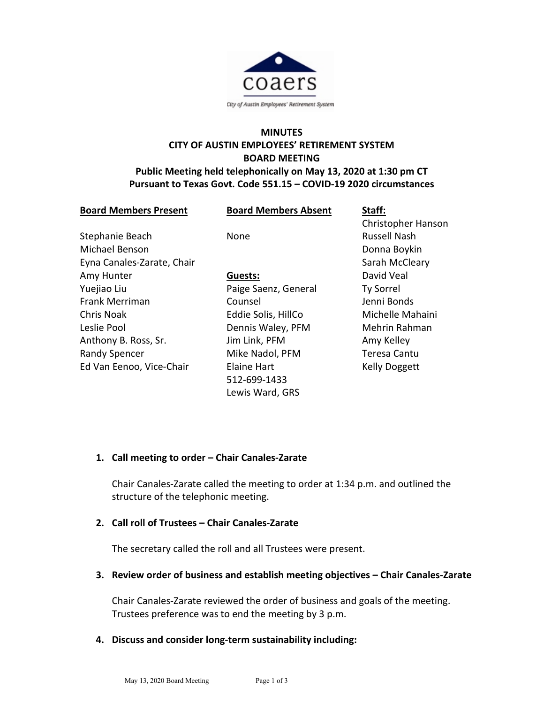

# **MINUTES CITY OF AUSTIN EMPLOYEES' RETIREMENT SYSTEM BOARD MEETING Public Meeting held telephonically on May 13, 2020 at 1:30 pm CT**

### **Pursuant to Texas Govt. Code 551.15 – COVID-19 2020 circumstances**

| <b>Board Members Present</b> | <b>Board Members Absent</b> | Staff:               |
|------------------------------|-----------------------------|----------------------|
|                              |                             | Christopher Hanson   |
| Stephanie Beach              | None                        | <b>Russell Nash</b>  |
| Michael Benson               |                             | Donna Boykin         |
| Eyna Canales-Zarate, Chair   |                             | Sarah McCleary       |
| Amy Hunter                   | Guests:                     | David Veal           |
| Yuejiao Liu                  | Paige Saenz, General        | <b>Ty Sorrel</b>     |
| <b>Frank Merriman</b>        | Counsel                     | Jenni Bonds          |
| Chris Noak                   | Eddie Solis, HillCo         | Michelle Mahaini     |
| Leslie Pool                  | Dennis Waley, PFM           | Mehrin Rahman        |
| Anthony B. Ross, Sr.         | Jim Link, PFM               | Amy Kelley           |
| <b>Randy Spencer</b>         | Mike Nadol, PFM             | <b>Teresa Cantu</b>  |
| Ed Van Eenoo, Vice-Chair     | <b>Elaine Hart</b>          | <b>Kelly Doggett</b> |
|                              | 512-699-1433                |                      |
|                              | Lewis Ward, GRS             |                      |

#### **1. Call meeting to order – Chair Canales-Zarate**

Chair Canales-Zarate called the meeting to order at 1:34 p.m. and outlined the structure of the telephonic meeting.

# **2. Call roll of Trustees – Chair Canales-Zarate**

The secretary called the roll and all Trustees were present.

#### **3. Review order of business and establish meeting objectives – Chair Canales-Zarate**

Chair Canales-Zarate reviewed the order of business and goals of the meeting. Trustees preference was to end the meeting by 3 p.m.

# **4. Discuss and consider long-term sustainability including:**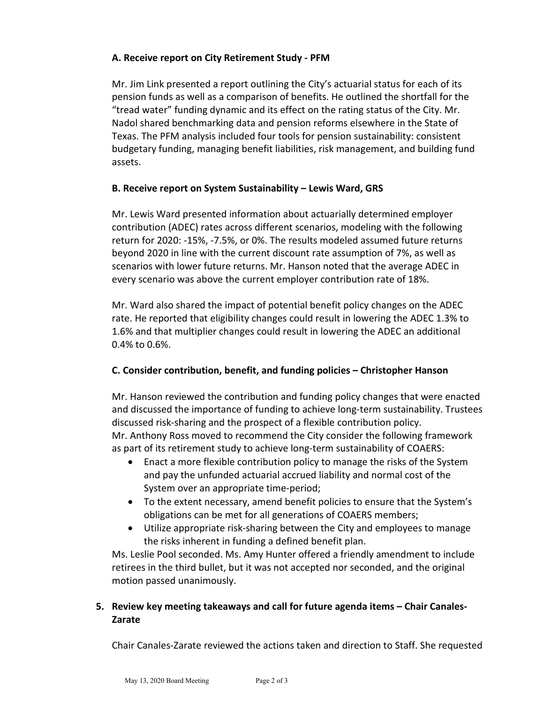# **A. Receive report on City Retirement Study - PFM**

Mr. Jim Link presented a report outlining the City's actuarial status for each of its pension funds as well as a comparison of benefits. He outlined the shortfall for the "tread water" funding dynamic and its effect on the rating status of the City. Mr. Nadol shared benchmarking data and pension reforms elsewhere in the State of Texas. The PFM analysis included four tools for pension sustainability: consistent budgetary funding, managing benefit liabilities, risk management, and building fund assets.

### **B. Receive report on System Sustainability – Lewis Ward, GRS**

Mr. Lewis Ward presented information about actuarially determined employer contribution (ADEC) rates across different scenarios, modeling with the following return for 2020: -15%, -7.5%, or 0%. The results modeled assumed future returns beyond 2020 in line with the current discount rate assumption of 7%, as well as scenarios with lower future returns. Mr. Hanson noted that the average ADEC in every scenario was above the current employer contribution rate of 18%.

Mr. Ward also shared the impact of potential benefit policy changes on the ADEC rate. He reported that eligibility changes could result in lowering the ADEC 1.3% to 1.6% and that multiplier changes could result in lowering the ADEC an additional 0.4% to 0.6%.

# **C. Consider contribution, benefit, and funding policies – Christopher Hanson**

Mr. Hanson reviewed the contribution and funding policy changes that were enacted and discussed the importance of funding to achieve long-term sustainability. Trustees discussed risk-sharing and the prospect of a flexible contribution policy. Mr. Anthony Ross moved to recommend the City consider the following framework as part of its retirement study to achieve long-term sustainability of COAERS:

- Enact a more flexible contribution policy to manage the risks of the System and pay the unfunded actuarial accrued liability and normal cost of the System over an appropriate time-period;
- To the extent necessary, amend benefit policies to ensure that the System's obligations can be met for all generations of COAERS members;
- Utilize appropriate risk-sharing between the City and employees to manage the risks inherent in funding a defined benefit plan.

Ms. Leslie Pool seconded. Ms. Amy Hunter offered a friendly amendment to include retirees in the third bullet, but it was not accepted nor seconded, and the original motion passed unanimously.

### **5. Review key meeting takeaways and call for future agenda items – Chair Canales-Zarate**

Chair Canales-Zarate reviewed the actions taken and direction to Staff. She requested